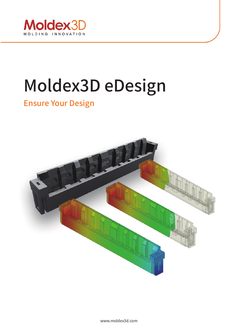

# Moldex3D eDesign

# Ensure Your Design

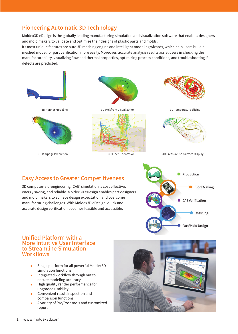## Pioneering Automatic 3D Technology

Moldex3D eDesign is the globally leading manufacturing simulation and visualization software that enables designers and mold makers to validate and optimize their designs of plastic parts and molds.

Its most unique features are auto 3D meshing engine and intelligent modeling wizards, which help users build a meshed model for part verification more easily. Moreover, accurate analysis results assist users in checking the manufacturability, visualizing flow and thermal properties, optimizing process conditions, and troubleshooting if defects are predicted.



# Easy Access to Greater Competitiveness

3D computer-aid-engineering (CAE) simulation is cost effective, energy saving, and reliable. Moldex3D eDesign enables part designers and mold makers to achieve design expectation and overcome manufacturing challenges. With Moldex3D eDesign, quick and accurate design verification becomes feasible and accessible.



#### Unified Platform with a More Intuitive User Interface to Streamline Simulation Workflows

- Single platform for all powerful Moldex3D simulation functions
- Integrated workflow through out to ensure modeling accuracy
- High quality render performance for upgraded usability
- Convenient result inspection and comparison functions
- A variety of Pre/Post tools and customized report

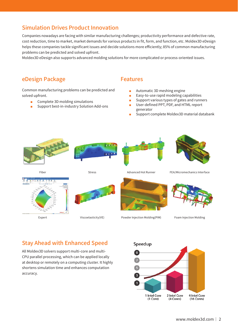## Simulation Drives Product Innovation

Companies nowadays are facing with similar manufacturing challenges; productivity performance and defective rate, cost reduction, time to market, market demands for various products in fit, form, and function, etc. Moldex3D eDesign helps these companies tackle significant issues and decide solutions more efficiently; 85% of common manufacturing problems can be predicted and solved upfront.

Moldex3D eDesign also supports advanced molding solutions for more complicated or process-oriented issues.

#### eDesign Package

Common manufacturing problems can be predicted and solved upfront.

- Complete 3D molding simulations
- Support best-in-industry Solution Add-ons

#### Features

- Automatic 3D meshing engine
- Easy-to-use rapid modeling capabilities
- Support various types of gates and runners
- User-defined PPT, PDF, and HTML report generator
- Support complete Moldex3D material databank





Stress





Advanced Hot Runner

FEA/Micromechanics Interface



Fiber



Viscoelasticity(VE)



Powder Injection Molding(PIM)



Foam Injection Molding

# Stay Ahead with Enhanced Speed

All Moldex3D solvers support multi-core and multi-CPU parallel processing, which can be applied locally at desktop or remotely on a computing cluster. It highly shortens simulation time and enhances computation accuracy.